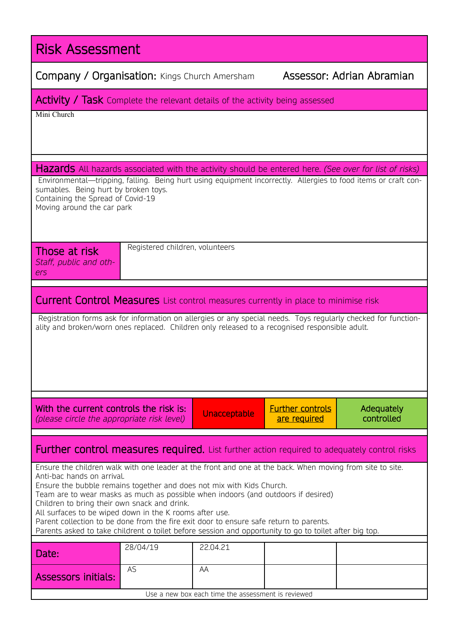| <b>Risk Assessment</b>                                                                                                                                                                                                                                                                                                                                                                                                                                                                                                                                                                                               |  |  |  |  |  |  |
|----------------------------------------------------------------------------------------------------------------------------------------------------------------------------------------------------------------------------------------------------------------------------------------------------------------------------------------------------------------------------------------------------------------------------------------------------------------------------------------------------------------------------------------------------------------------------------------------------------------------|--|--|--|--|--|--|
| Assessor: Adrian Abramian<br>Company / Organisation: Kings Church Amersham                                                                                                                                                                                                                                                                                                                                                                                                                                                                                                                                           |  |  |  |  |  |  |
| <b>Activity / Task</b> Complete the relevant details of the activity being assessed                                                                                                                                                                                                                                                                                                                                                                                                                                                                                                                                  |  |  |  |  |  |  |
| Mini Church                                                                                                                                                                                                                                                                                                                                                                                                                                                                                                                                                                                                          |  |  |  |  |  |  |
| <b>Hazards</b> All hazards associated with the activity should be entered here. (See over for list of risks)<br>Environmental—tripping, falling. Being hurt using equipment incorrectly. Allergies to food items or craft con-<br>sumables. Being hurt by broken toys.<br>Containing the Spread of Covid-19<br>Moving around the car park                                                                                                                                                                                                                                                                            |  |  |  |  |  |  |
| Registered children, volunteers<br>Those at risk<br>Staff, public and oth-<br>ers                                                                                                                                                                                                                                                                                                                                                                                                                                                                                                                                    |  |  |  |  |  |  |
| <b>Current Control Measures</b> List control measures currently in place to minimise risk                                                                                                                                                                                                                                                                                                                                                                                                                                                                                                                            |  |  |  |  |  |  |
| Registration forms ask for information on allergies or any special needs. Toys regularly checked for function-<br>ality and broken/worn ones replaced. Children only released to a recognised responsible adult.                                                                                                                                                                                                                                                                                                                                                                                                     |  |  |  |  |  |  |
| With the current controls the risk is:<br><b>Further controls</b><br>Adequately<br>Unacceptable<br>controlled<br>(please circle the appropriate risk level)<br>are required                                                                                                                                                                                                                                                                                                                                                                                                                                          |  |  |  |  |  |  |
| <b>Further control measures required.</b> List further action required to adequately control risks                                                                                                                                                                                                                                                                                                                                                                                                                                                                                                                   |  |  |  |  |  |  |
| Ensure the children walk with one leader at the front and one at the back. When moving from site to site.<br>Anti-bac hands on arrival.<br>Ensure the bubble remains together and does not mix with Kids Church.<br>Team are to wear masks as much as possible when indoors (and outdoors if desired)<br>Children to bring their own snack and drink.<br>All surfaces to be wiped down in the K rooms after use.<br>Parent collection to be done from the fire exit door to ensure safe return to parents.<br>Parents asked to take childrent o toilet before session and opportunity to go to toilet after big top. |  |  |  |  |  |  |
| 28/04/19<br>22.04.21<br>Date:                                                                                                                                                                                                                                                                                                                                                                                                                                                                                                                                                                                        |  |  |  |  |  |  |
| <b>AS</b><br>AA<br><b>Assessors initials:</b>                                                                                                                                                                                                                                                                                                                                                                                                                                                                                                                                                                        |  |  |  |  |  |  |
| Use a new box each time the assessment is reviewed                                                                                                                                                                                                                                                                                                                                                                                                                                                                                                                                                                   |  |  |  |  |  |  |